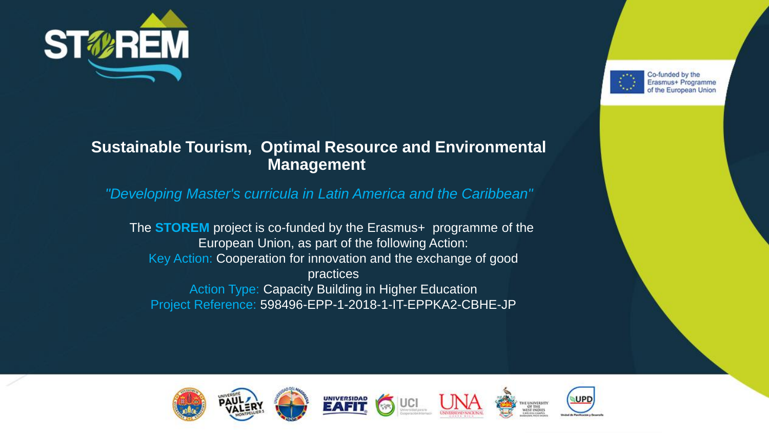



#### **Sustainable Tourism, Optimal Resource and Environmental Management**

*"Developing Master's curricula in Latin America and the Caribbean"*

The **STOREM** project is co-funded by the Erasmus+ programme of the European Union, as part of the following Action: Key Action: Cooperation for innovation and the exchange of good practices Action Type: Capacity Building in Higher Education Project Reference: 598496-EPP-1-2018-1-IT-EPPKA2-CBHE-JP









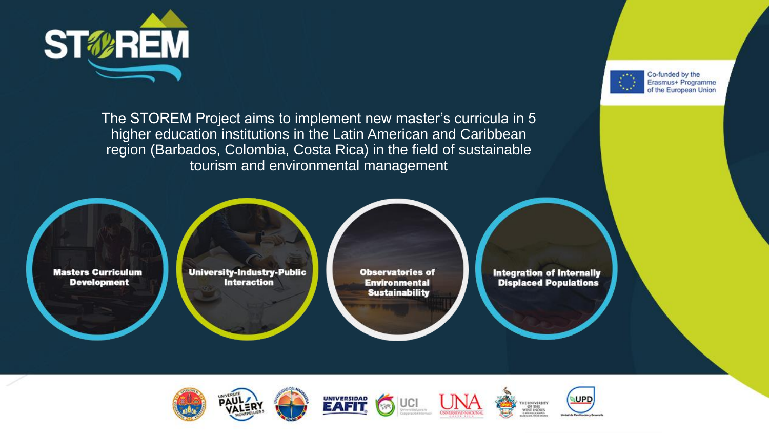



The STOREM Project aims to implement new master's curricula in 5 higher education institutions in the Latin American and Caribbean region (Barbados, Colombia, Costa Rica) in the field of sustainable tourism and environmental management

**Masters Curriculum Development** 

**University-Industry-Public Interaction** 

**Observatories of Environmental Sustainability** 

**Integration of Internally Displaced Populations** 



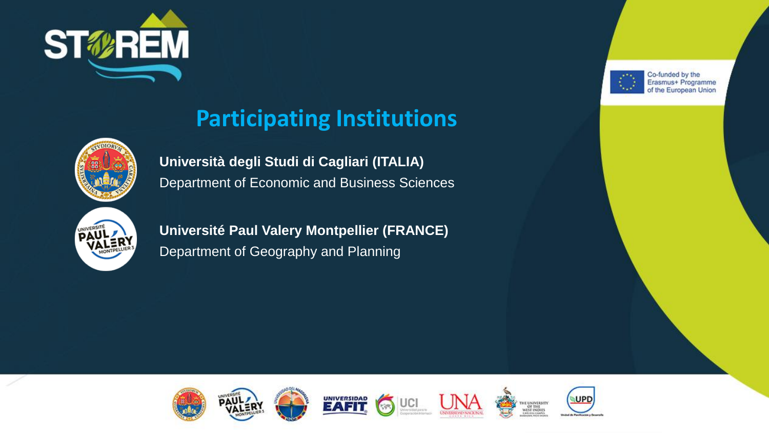



## **Participating Institutions**

**Università degli Studi di Cagliari (ITALIA)** Department of Economic and Business Sciences



**Université Paul Valery Montpellier (FRANCE)** Department of Geography and Planning





THE UNIVERSITY OF THE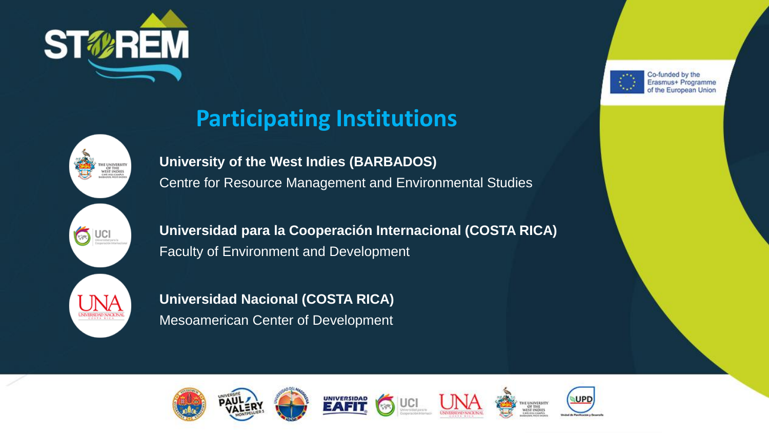





**Participating Institutions**

**University of the West Indies (BARBADOS)** Centre for Resource Management and Environmental Studies

**Universidad para la Cooperación Internacional (COSTA RICA)** Faculty of Environment and Development

**Universidad Nacional (COSTA RICA)** Mesoamerican Center of Development









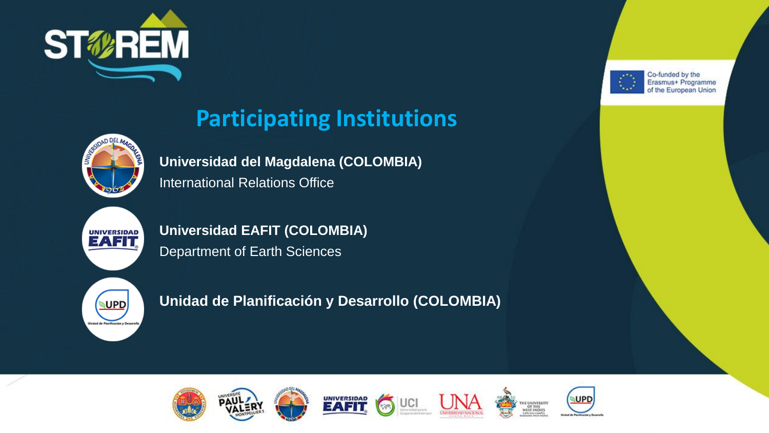



## **Participating Institutions**

**Universidad del Magdalena (COLOMBIA)** International Relations Office



**Universidad EAFIT (COLOMBIA)** Department of Earth Sciences



**Unidad de Planificación y Desarrollo (COLOMBIA)**









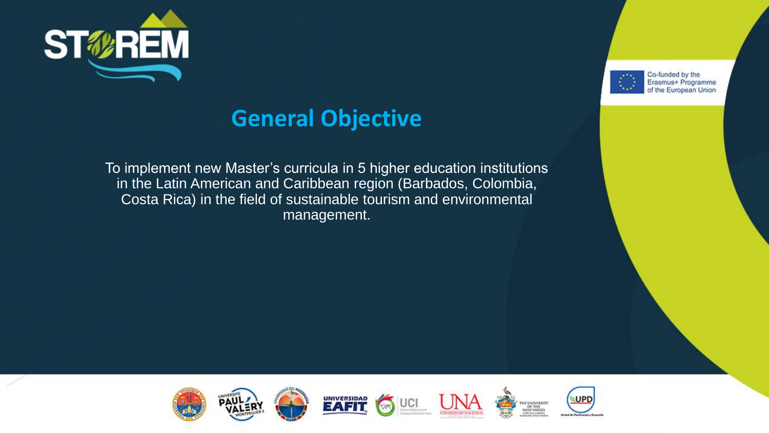



### **General Objective**

To implement new Master's curricula in 5 higher education institutions in the Latin American and Caribbean region (Barbados, Colombia, Costa Rica) in the field of sustainable tourism and environmental management.



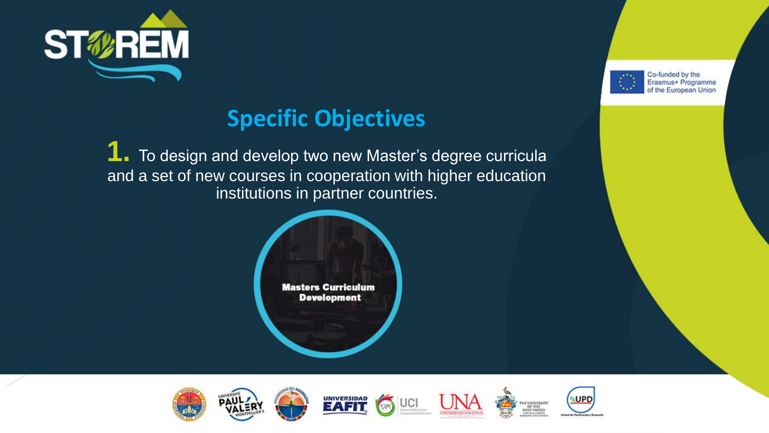



**1.** To design and develop two new Master's degree curricula and a set of new courses in cooperation with higher education institutions in partner countries.









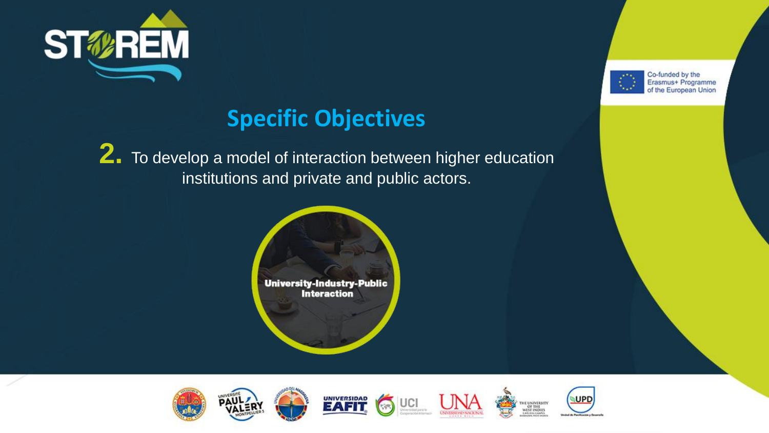



**2.** To develop a model of interaction between higher education institutions and private and public actors.







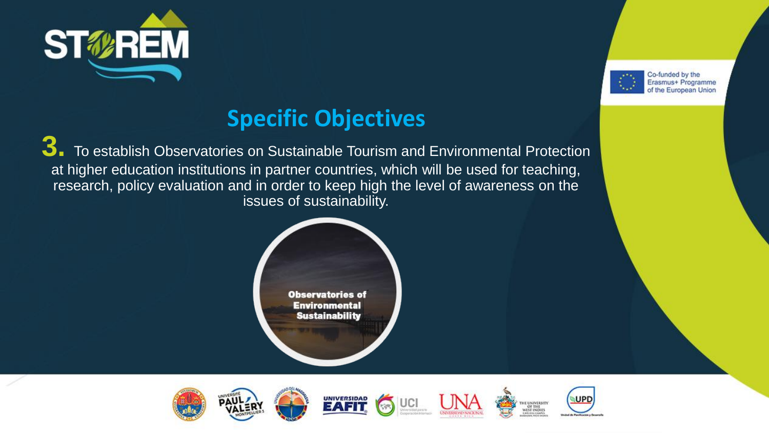



**3. To establish Observatories on Sustainable Tourism and Environmental Protection** at higher education institutions in partner countries, which will be used for teaching, research, policy evaluation and in order to keep high the level of awareness on the issues of sustainability.











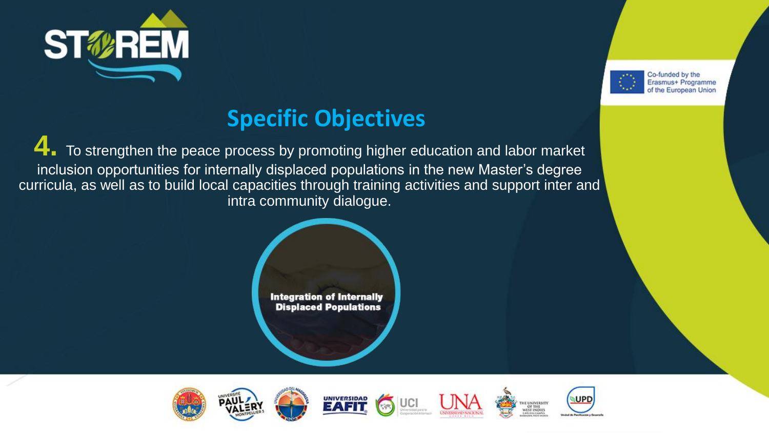



**4.** To strengthen the peace process by promoting higher education and labor market inclusion opportunities for internally displaced populations in the new Master's degree curricula, as well as to build local capacities through training activities and support inter and intra community dialogue.









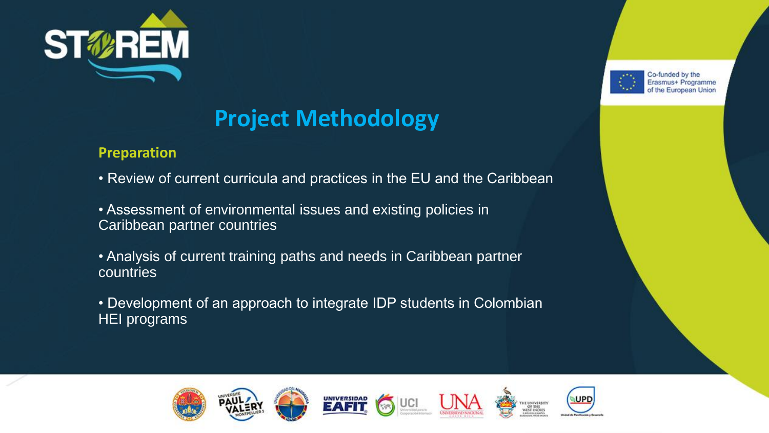

#### **Preparation**

• Review of current curricula and practices in the EU and the Caribbean

• Assessment of environmental issues and existing policies in Caribbean partner countries

• Analysis of current training paths and needs in Caribbean partner countries

• Development of an approach to integrate IDP students in Colombian HEI programs











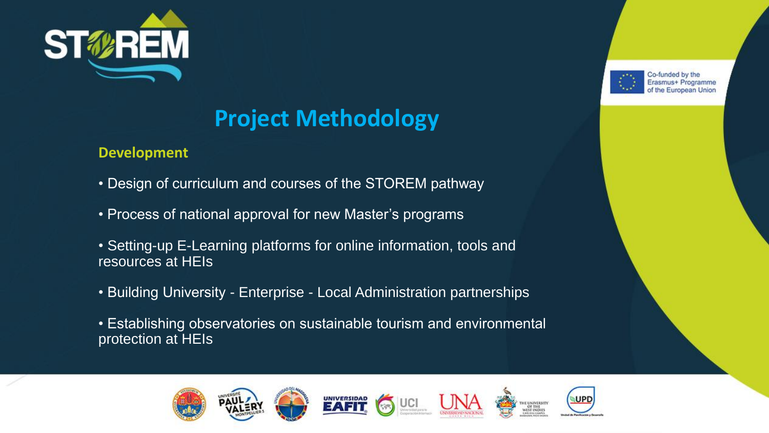

#### **Development**

- Design of curriculum and courses of the STOREM pathway
- Process of national approval for new Master's programs
- Setting-up E-Learning platforms for online information, tools and resources at HEIs
- Building University Enterprise Local Administration partnerships
- Establishing observatories on sustainable tourism and environmental protection at HEIs









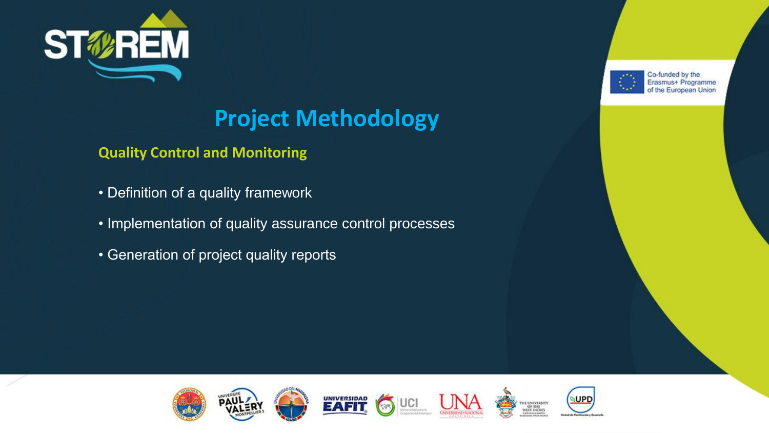

**Quality Control and Monitoring**

- Definition of a quality framework
- Implementation of quality assurance control processes
- Generation of project quality reports





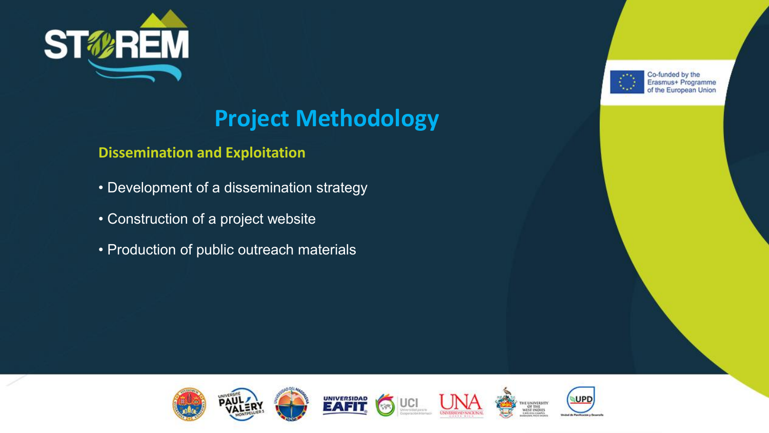

#### **Dissemination and Exploitation**

- Development of a dissemination strategy
- Construction of a project website
- Production of public outreach materials







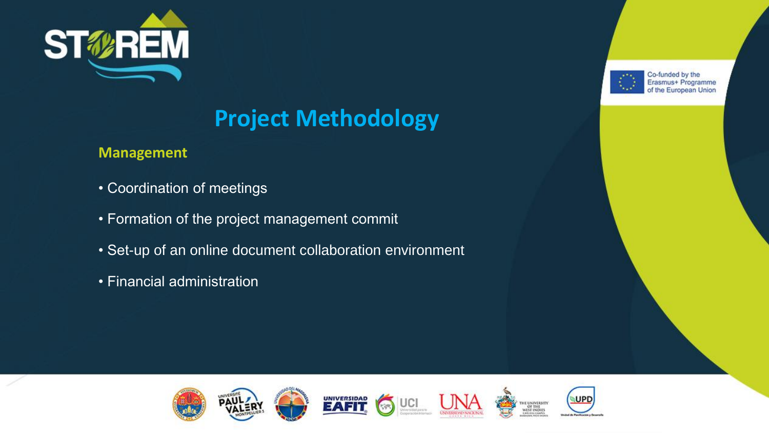

#### **Management**

- Coordination of meetings
- Formation of the project management commit
- Set-up of an online document collaboration environment
- Financial administration